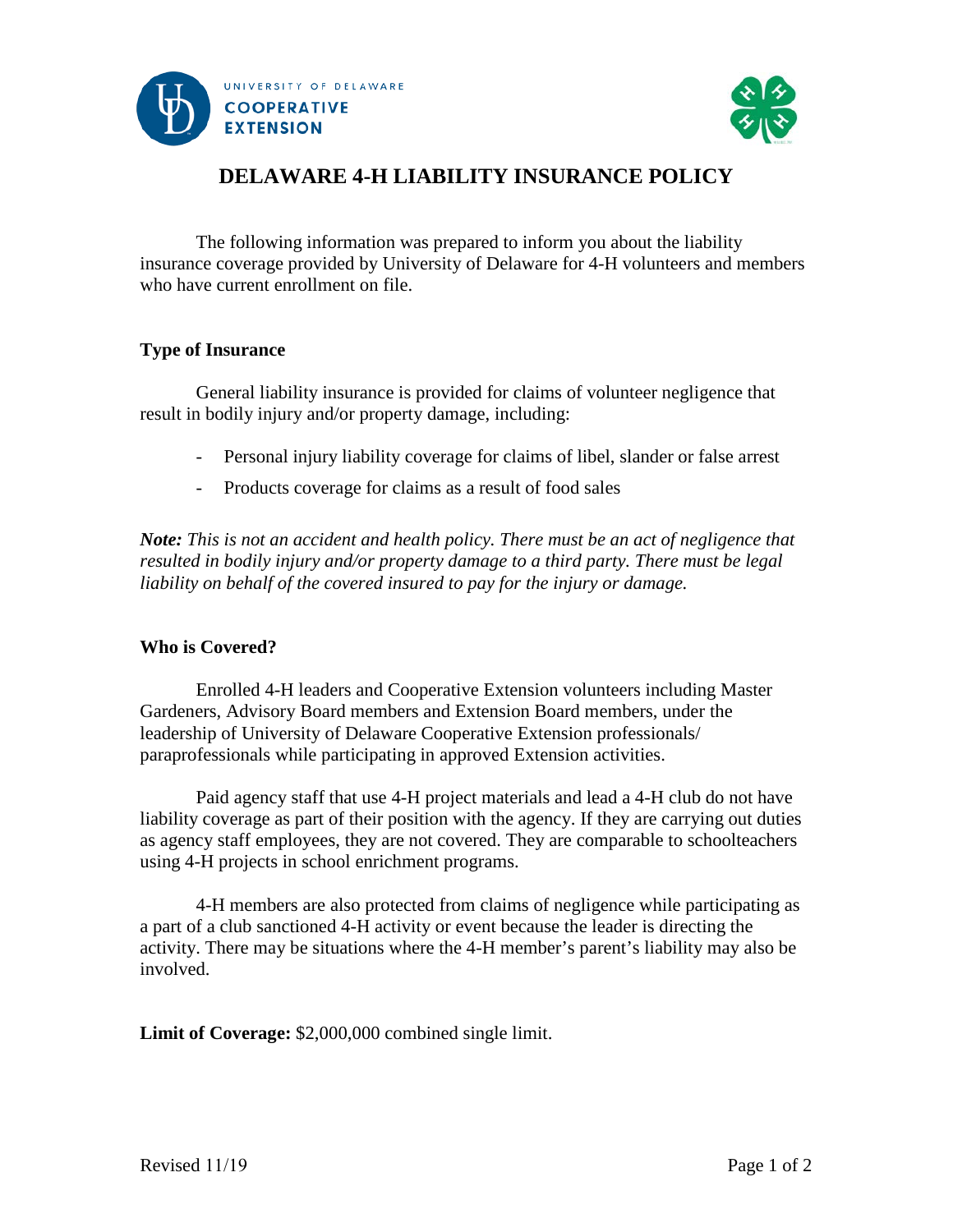



# **DELAWARE 4-H LIABILITY INSURANCE POLICY**

The following information was prepared to inform you about the liability insurance coverage provided by University of Delaware for 4-H volunteers and members who have current enrollment on file.

## **Type of Insurance**

General liability insurance is provided for claims of volunteer negligence that result in bodily injury and/or property damage, including:

- Personal injury liability coverage for claims of libel, slander or false arrest
- Products coverage for claims as a result of food sales

*Note: This is not an accident and health policy. There must be an act of negligence that resulted in bodily injury and/or property damage to a third party. There must be legal liability on behalf of the covered insured to pay for the injury or damage.* 

#### **Who is Covered?**

Enrolled 4-H leaders and Cooperative Extension volunteers including Master Gardeners, Advisory Board members and Extension Board members, under the leadership of University of Delaware Cooperative Extension professionals/ paraprofessionals while participating in approved Extension activities.

Paid agency staff that use 4-H project materials and lead a 4-H club do not have liability coverage as part of their position with the agency. If they are carrying out duties as agency staff employees, they are not covered. They are comparable to schoolteachers using 4-H projects in school enrichment programs.

4-H members are also protected from claims of negligence while participating as a part of a club sanctioned 4-H activity or event because the leader is directing the activity. There may be situations where the 4-H member's parent's liability may also be involved.

**Limit of Coverage:** \$2,000,000 combined single limit.